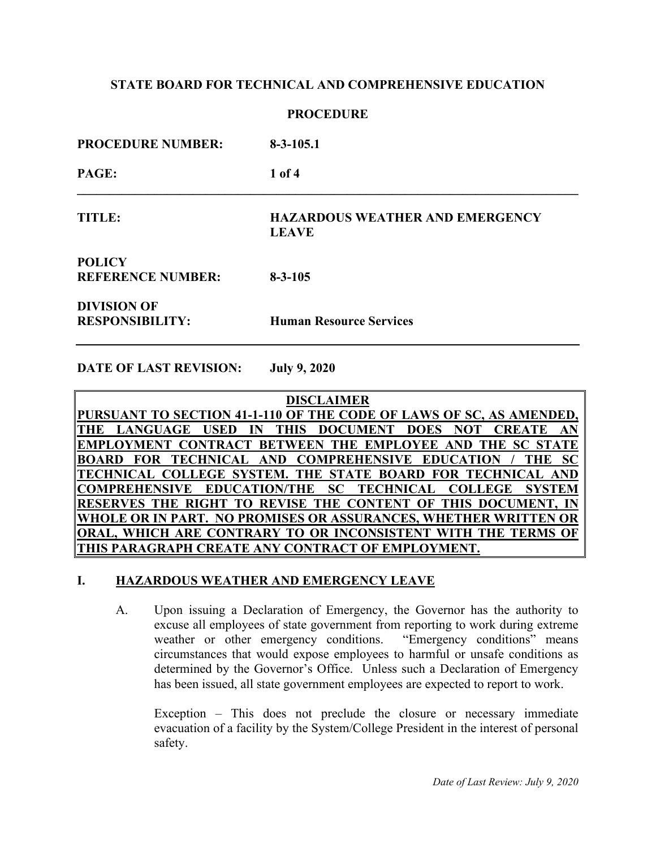### **PROCEDURE**

| <b>PROCEDURE NUMBER:</b>                     | $8-3-105.1$                                            |
|----------------------------------------------|--------------------------------------------------------|
| PAGE:                                        | $1$ of 4                                               |
| TITLE:                                       | <b>HAZARDOUS WEATHER AND EMERGENCY</b><br><b>LEAVE</b> |
| <b>POLICY</b><br><b>REFERENCE NUMBER:</b>    | $8 - 3 - 105$                                          |
| <b>DIVISION OF</b><br><b>RESPONSIBILITY:</b> | <b>Human Resource Services</b>                         |

**DATE OF LAST REVISION: July 9, 2020**

**DISCLAIMER PURSUANT TO SECTION 41-1-110 OF THE CODE OF LAWS OF SC, AS AMENDED, THE LANGUAGE USED IN THIS DOCUMENT DOES NOT CREATE AN EMPLOYMENT CONTRACT BETWEEN THE EMPLOYEE AND THE SC STATE BOARD FOR TECHNICAL AND COMPREHENSIVE EDUCATION / THE SC TECHNICAL COLLEGE SYSTEM. THE STATE BOARD FOR TECHNICAL AND COMPREHENSIVE EDUCATION/THE SC TECHNICAL COLLEGE SYSTEM RESERVES THE RIGHT TO REVISE THE CONTENT OF THIS DOCUMENT, IN WHOLE OR IN PART. NO PROMISES OR ASSURANCES, WHETHER WRITTEN OR ORAL, WHICH ARE CONTRARY TO OR INCONSISTENT WITH THE TERMS OF THIS PARAGRAPH CREATE ANY CONTRACT OF EMPLOYMENT.**

# **I. HAZARDOUS WEATHER AND EMERGENCY LEAVE**

A. Upon issuing a Declaration of Emergency, the Governor has the authority to excuse all employees of state government from reporting to work during extreme weather or other emergency conditions. "Emergency conditions" means circumstances that would expose employees to harmful or unsafe conditions as determined by the Governor's Office. Unless such a Declaration of Emergency has been issued, all state government employees are expected to report to work.

Exception – This does not preclude the closure or necessary immediate evacuation of a facility by the System/College President in the interest of personal safety.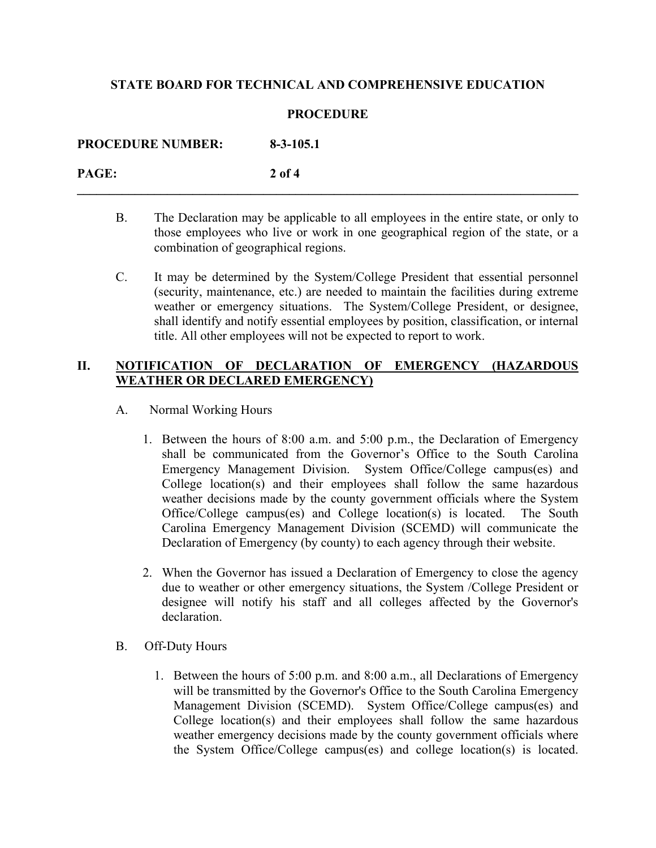#### **PROCEDURE**

**\_\_\_\_\_\_\_\_\_\_\_\_\_\_\_\_\_\_\_\_\_\_\_\_\_\_\_\_\_\_\_\_\_\_\_\_\_\_\_\_\_\_\_\_\_\_\_\_\_\_\_\_\_\_\_\_\_\_\_\_\_\_\_\_\_\_\_\_\_\_\_\_\_\_\_\_\_\_**

**PROCEDURE NUMBER: 8-3-105.1 PAGE: 2 of 4**

- B. The Declaration may be applicable to all employees in the entire state, or only to those employees who live or work in one geographical region of the state, or a combination of geographical regions.
- C. It may be determined by the System/College President that essential personnel (security, maintenance, etc.) are needed to maintain the facilities during extreme weather or emergency situations. The System/College President, or designee, shall identify and notify essential employees by position, classification, or internal title. All other employees will not be expected to report to work.

### **II. NOTIFICATION OF DECLARATION OF EMERGENCY (HAZARDOUS WEATHER OR DECLARED EMERGENCY)**

- A. Normal Working Hours
	- 1. Between the hours of 8:00 a.m. and 5:00 p.m., the Declaration of Emergency shall be communicated from the Governor's Office to the South Carolina Emergency Management Division. System Office/College campus(es) and College location(s) and their employees shall follow the same hazardous weather decisions made by the county government officials where the System Office/College campus(es) and College location(s) is located. The South Carolina Emergency Management Division (SCEMD) will communicate the Declaration of Emergency (by county) to each agency through their website.
	- 2. When the Governor has issued a Declaration of Emergency to close the agency due to weather or other emergency situations, the System /College President or designee will notify his staff and all colleges affected by the Governor's declaration.
- B. Off-Duty Hours
	- 1. Between the hours of 5:00 p.m. and 8:00 a.m., all Declarations of Emergency will be transmitted by the Governor's Office to the South Carolina Emergency Management Division (SCEMD). System Office/College campus(es) and College location(s) and their employees shall follow the same hazardous weather emergency decisions made by the county government officials where the System Office/College campus(es) and college location(s) is located.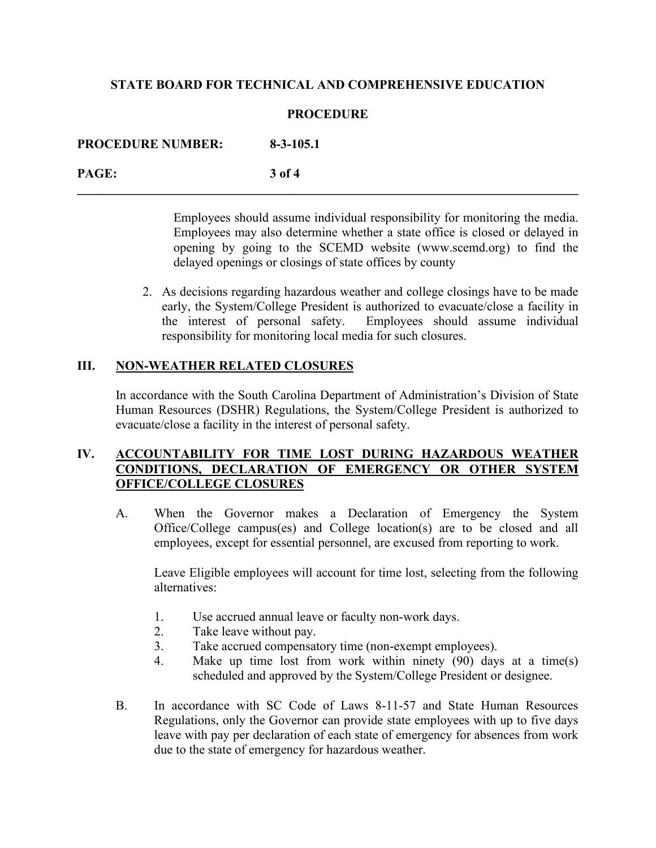### **PROCEDURE**

**\_\_\_\_\_\_\_\_\_\_\_\_\_\_\_\_\_\_\_\_\_\_\_\_\_\_\_\_\_\_\_\_\_\_\_\_\_\_\_\_\_\_\_\_\_\_\_\_\_\_\_\_\_\_\_\_\_\_\_\_\_\_\_\_\_\_\_\_\_\_\_\_\_\_\_\_\_\_**

**PROCEDURE NUMBER: 8-3-105.1 PAGE: 3 of 4**

> Employees should assume individual responsibility for monitoring the media. Employees may also determine whether a state office is closed or delayed in opening by going to the SCEMD website (www.scemd.org) to find the delayed openings or closings of state offices by county

2. As decisions regarding hazardous weather and college closings have to be made early, the System/College President is authorized to evacuate/close a facility in the interest of personal safety. Employees should assume individual responsibility for monitoring local media for such closures.

### **III. NON-WEATHER RELATED CLOSURES**

In accordance with the South Carolina Department of Administration's Division of State Human Resources (DSHR) Regulations, the System/College President is authorized to evacuate/close a facility in the interest of personal safety.

# **IV. ACCOUNTABILITY FOR TIME LOST DURING HAZARDOUS WEATHER CONDITIONS, DECLARATION OF EMERGENCY OR OTHER SYSTEM OFFICE/COLLEGE CLOSURES**

A. When the Governor makes a Declaration of Emergency the System Office/College campus(es) and College location(s) are to be closed and all employees, except for essential personnel, are excused from reporting to work.

Leave Eligible employees will account for time lost, selecting from the following alternatives:

- 1. Use accrued annual leave or faculty non-work days.
- 2. Take leave without pay.
- 3. Take accrued compensatory time (non-exempt employees).
- 4. Make up time lost from work within ninety (90) days at a time(s) scheduled and approved by the System/College President or designee.
- B. In accordance with SC Code of Laws 8-11-57 and State Human Resources Regulations, only the Governor can provide state employees with up to five days leave with pay per declaration of each state of emergency for absences from work due to the state of emergency for hazardous weather.